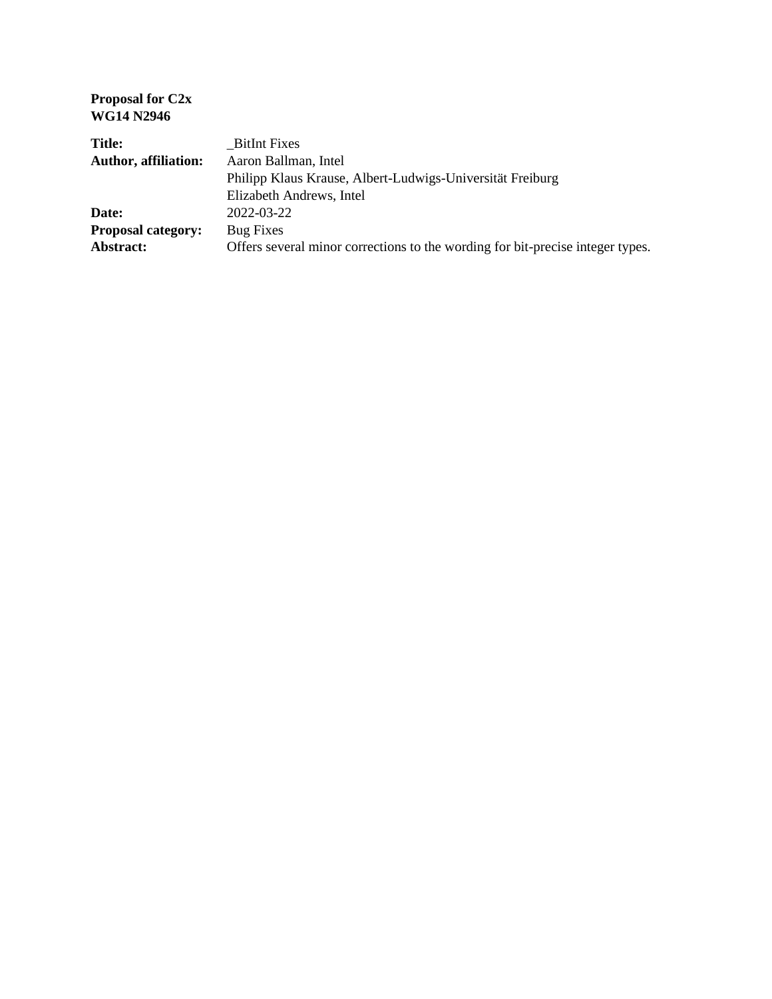**Proposal for C2x WG14 N2946**

| <b>Title:</b>               | <b>BitInt Fixes</b>                                                            |
|-----------------------------|--------------------------------------------------------------------------------|
| <b>Author, affiliation:</b> | Aaron Ballman, Intel                                                           |
|                             | Philipp Klaus Krause, Albert-Ludwigs-Universität Freiburg                      |
|                             | Elizabeth Andrews, Intel                                                       |
| Date:                       | 2022-03-22                                                                     |
| <b>Proposal category:</b>   | Bug Fixes                                                                      |
| Abstract:                   | Offers several minor corrections to the wording for bit-precise integer types. |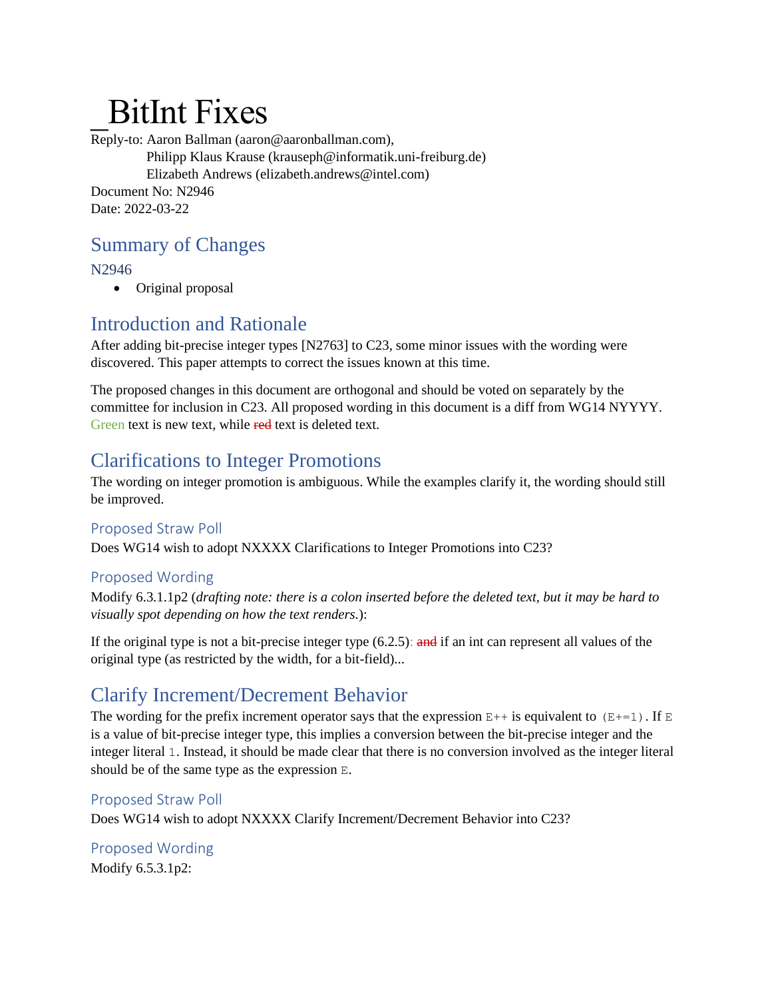# \_BitInt Fixes

Reply-to: Aaron Ballman (aaron@aaronballman.com), Philipp Klaus Krause (krauseph@informatik.uni-freiburg.de) Elizabeth Andrews (elizabeth.andrews@intel.com) Document No: N2946 Date: 2022-03-22

### Summary of Changes

N2946

• Original proposal

## Introduction and Rationale

After adding bit-precise integer types [N2763] to C23, some minor issues with the wording were discovered. This paper attempts to correct the issues known at this time.

The proposed changes in this document are orthogonal and should be voted on separately by the committee for inclusion in C23. All proposed wording in this document is a diff from WG14 NYYYY. Green text is new text, while red text is deleted text.

### Clarifications to Integer Promotions

The wording on integer promotion is ambiguous. While the examples clarify it, the wording should still be improved.

### Proposed Straw Poll

Does WG14 wish to adopt NXXXX Clarifications to Integer Promotions into C23?

### Proposed Wording

Modify 6.3.1.1p2 (*drafting note: there is a colon inserted before the deleted text, but it may be hard to visually spot depending on how the text renders.*):

If the original type is not a bit-precise integer type  $(6.2.5)$ : and if an int can represent all values of the original type (as restricted by the width, for a bit-field)...

# Clarify Increment/Decrement Behavior

The wording for the prefix increment operator says that the expression  $E++$  is equivalent to  $(E+=1)$ . If E is a value of bit-precise integer type, this implies a conversion between the bit-precise integer and the integer literal 1. Instead, it should be made clear that there is no conversion involved as the integer literal should be of the same type as the expression E.

### Proposed Straw Poll

Does WG14 wish to adopt NXXXX Clarify Increment/Decrement Behavior into C23?

# Proposed Wording

Modify 6.5.3.1p2: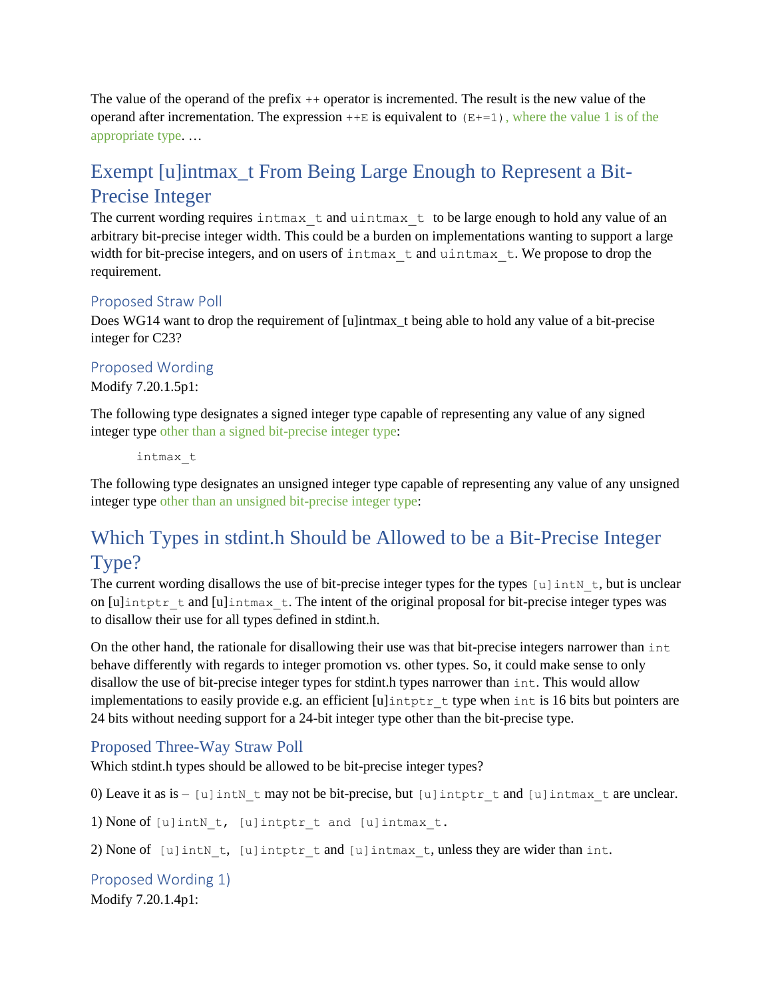The value of the operand of the prefix ++ operator is incremented. The result is the new value of the operand after incrementation. The expression  $++E$  is equivalent to  $(E+=1)$ , where the value 1 is of the appropriate type. …

# Exempt [u]intmax\_t From Being Large Enough to Represent a Bit-Precise Integer

The current wording requires intmax t and uintmax t to be large enough to hold any value of an arbitrary bit-precise integer width. This could be a burden on implementations wanting to support a large width for bit-precise integers, and on users of  $in$ tmax  $t$  and  $uin$ tmax  $t$ . We propose to drop the requirement.

#### Proposed Straw Poll

Does WG14 want to drop the requirement of [u]intmax\_t being able to hold any value of a bit-precise integer for C23?

#### Proposed Wording

Modify 7.20.1.5p1:

The following type designates a signed integer type capable of representing any value of any signed integer type other than a signed bit-precise integer type:

intmax\_t

The following type designates an unsigned integer type capable of representing any value of any unsigned integer type other than an unsigned bit-precise integer type:

# Which Types in stdint.h Should be Allowed to be a Bit-Precise Integer Type?

The current wording disallows the use of bit-precise integer types for the types [u]intN t, but is unclear on  $[u]$ intptr t and  $[u]$ intmax t. The intent of the original proposal for bit-precise integer types was to disallow their use for all types defined in stdint.h.

On the other hand, the rationale for disallowing their use was that bit-precise integers narrower than int behave differently with regards to integer promotion vs. other types. So, it could make sense to only disallow the use of bit-precise integer types for stdint.h types narrower than int. This would allow implementations to easily provide e.g. an efficient [u]intptr\_t type when int is 16 bits but pointers are 24 bits without needing support for a 24-bit integer type other than the bit-precise type.

#### Proposed Three-Way Straw Poll

Which stdint.h types should be allowed to be bit-precise integer types?

0) Leave it as is – [u]intN t may not be bit-precise, but [u]intptr t and [u]intmax t are unclear.

1) None of [u]intN t, [u]intptr t and [u]intmax t.

2) None of  $[u]$  int $N$  t,  $[u]$  intptr t and  $[u]$  intmax t, unless they are wider than int.

Proposed Wording 1) Modify 7.20.1.4p1: